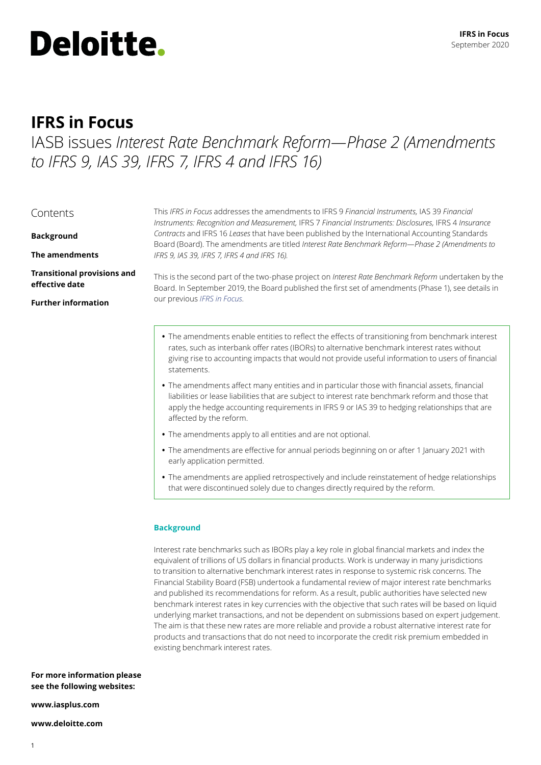

# **IFRS in Focus**

IASB issues *Interest Rate Benchmark Reform—Phase 2 (Amendments to IFRS 9, IAS 39, IFRS 7, IFRS 4 and IFRS 16)*

|  | Contents |
|--|----------|
|  |          |

**Background**

**The amendments**

**Transitional provisions and effective date**

**Further information**

This *IFRS in Focus* addresses the amendments to IFRS 9 *Financial Instruments,* IAS 39 *Financial Instruments: Recognition and Measurement,* IFRS 7 *Financial Instruments: Disclosures,* IFRS 4 *Insurance Contracts* and IFRS 16 *Leases* that have been published by the International Accounting Standards Board (Board). The amendments are titled *Interest Rate Benchmark Reform—Phase 2 (Amendments to IFRS 9, IAS 39, IFRS 7, IFRS 4 and IFRS 16).*

This is the second part of the two-phase project on *Interest Rate Benchmark Reform* undertaken by the Board. In September 2019, the Board published the first set of amendments (Phase 1), see details in our previous *[IFRS in Focus.](https://www.iasplus.com/en/publications/global/ifrs-in-focus/2019/ibor-amendments)*

- **•** The amendments enable entities to reflect the effects of transitioning from benchmark interest rates, such as interbank offer rates (IBORs) to alternative benchmark interest rates without giving rise to accounting impacts that would not provide useful information to users of financial statements.
- **•** The amendments affect many entities and in particular those with financial assets, financial liabilities or lease liabilities that are subject to interest rate benchmark reform and those that apply the hedge accounting requirements in IFRS 9 or IAS 39 to hedging relationships that are affected by the reform.
- **•** The amendments apply to all entities and are not optional.
- The amendments are effective for annual periods beginning on or after 1 January 2021 with early application permitted.
- **•** The amendments are applied retrospectively and include reinstatement of hedge relationships that were discontinued solely due to changes directly required by the reform.

# **Background**

Interest rate benchmarks such as IBORs play a key role in global financial markets and index the equivalent of trillions of US dollars in financial products. Work is underway in many jurisdictions to transition to alternative benchmark interest rates in response to systemic risk concerns. The Financial Stability Board (FSB) undertook a fundamental review of major interest rate benchmarks and published its recommendations for reform. As a result, public authorities have selected new benchmark interest rates in key currencies with the objective that such rates will be based on liquid underlying market transactions, and not be dependent on submissions based on expert judgement. The aim is that these new rates are more reliable and provide a robust alternative interest rate for products and transactions that do not need to incorporate the credit risk premium embedded in existing benchmark interest rates.

**For more information please see the following websites:**

**www.iasplus.com**

**www.deloitte.com**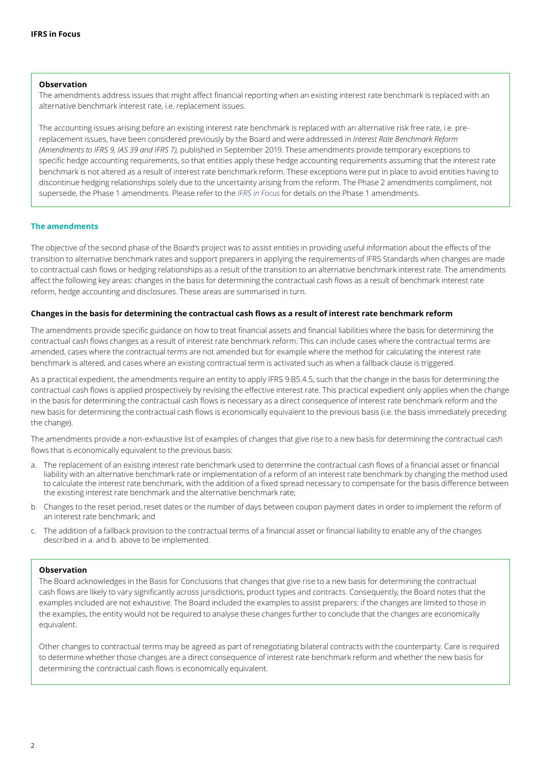#### **Observation**

The amendments address issues that might affect financial reporting when an existing interest rate benchmark is replaced with an alternative benchmark interest rate, i.e. replacement issues.

The accounting issues arising before an existing interest rate benchmark is replaced with an alternative risk free rate, i.e. prereplacement issues, have been considered previously by the Board and were addressed in *Interest Rate Benchmark Reform (Amendments to IFRS 9, IAS 39 and IFRS 7)*, published in September 2019. These amendments provide temporary exceptions to specific hedge accounting requirements, so that entities apply these hedge accounting requirements assuming that the interest rate benchmark is not altered as a result of interest rate benchmark reform. These exceptions were put in place to avoid entities having to discontinue hedging relationships solely due to the uncertainty arising from the reform. The Phase 2 amendments compliment, not supersede, the Phase 1 amendments. Please refer to the *[IFRS in Focus](https://www.iasplus.com/en/publications/global/ifrs-in-focus/2019/ibor-amendments)* for details on the Phase 1 amendments.

# **The amendments**

The objective of the second phase of the Board's project was to assist entities in providing useful information about the effects of the transition to alternative benchmark rates and support preparers in applying the requirements of IFRS Standards when changes are made to contractual cash flows or hedging relationships as a result of the transition to an alternative benchmark interest rate. The amendments affect the following key areas: changes in the basis for determining the contractual cash flows as a result of benchmark interest rate reform, hedge accounting and disclosures. These areas are summarised in turn.

# **Changes in the basis for determining the contractual cash flows as a result of interest rate benchmark reform**

The amendments provide specific guidance on how to treat financial assets and financial liabilities where the basis for determining the contractual cash flows changes as a result of interest rate benchmark reform. This can include cases where the contractual terms are amended, cases where the contractual terms are not amended but for example where the method for calculating the interest rate benchmark is altered, and cases where an existing contractual term is activated such as when a fallback clause is triggered.

As a practical expedient, the amendments require an entity to apply IFRS 9:B5.4.5, such that the change in the basis for determining the contractual cash flows is applied prospectively by revising the effective interest rate. This practical expedient only applies when the change in the basis for determining the contractual cash flows is necessary as a direct consequence of interest rate benchmark reform and the new basis for determining the contractual cash flows is economically equivalent to the previous basis (i.e. the basis immediately preceding the change).

The amendments provide a non-exhaustive list of examples of changes that give rise to a new basis for determining the contractual cash flows that is economically equivalent to the previous basis:

- a. The replacement of an existing interest rate benchmark used to determine the contractual cash flows of a financial asset or financial liability with an alternative benchmark rate or implementation of a reform of an interest rate benchmark by changing the method used to calculate the interest rate benchmark, with the addition of a fixed spread necessary to compensate for the basis difference between the existing interest rate benchmark and the alternative benchmark rate;
- b. Changes to the reset period, reset dates or the number of days between coupon payment dates in order to implement the reform of an interest rate benchmark; and
- c. The addition of a fallback provision to the contractual terms of a financial asset or financial liability to enable any of the changes described in a. and b. above to be implemented.

#### **Observation**

The Board acknowledges in the Basis for Conclusions that changes that give rise to a new basis for determining the contractual cash flows are likely to vary significantly across jurisdictions, product types and contracts. Consequently, the Board notes that the examples included are not exhaustive. The Board included the examples to assist preparers: if the changes are limited to those in the examples, the entity would not be required to analyse these changes further to conclude that the changes are economically equivalent.

Other changes to contractual terms may be agreed as part of renegotiating bilateral contracts with the counterparty. Care is required to determine whether those changes are a direct consequence of interest rate benchmark reform and whether the new basis for determining the contractual cash flows is economically equivalent.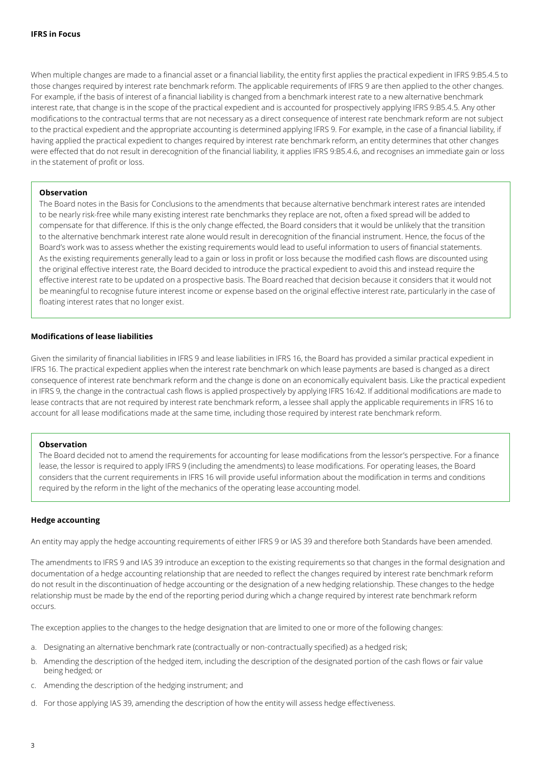When multiple changes are made to a financial asset or a financial liability, the entity first applies the practical expedient in IFRS 9:B5.4.5 to those changes required by interest rate benchmark reform. The applicable requirements of IFRS 9 are then applied to the other changes. For example, if the basis of interest of a financial liability is changed from a benchmark interest rate to a new alternative benchmark interest rate, that change is in the scope of the practical expedient and is accounted for prospectively applying IFRS 9:B5.4.5. Any other modifications to the contractual terms that are not necessary as a direct consequence of interest rate benchmark reform are not subject to the practical expedient and the appropriate accounting is determined applying IFRS 9. For example, in the case of a financial liability, if having applied the practical expedient to changes required by interest rate benchmark reform, an entity determines that other changes were effected that do not result in derecognition of the financial liability, it applies IFRS 9:B5.4.6, and recognises an immediate gain or loss in the statement of profit or loss.

# **Observation**

The Board notes in the Basis for Conclusions to the amendments that because alternative benchmark interest rates are intended to be nearly risk-free while many existing interest rate benchmarks they replace are not, often a fixed spread will be added to compensate for that difference. If this is the only change effected, the Board considers that it would be unlikely that the transition to the alternative benchmark interest rate alone would result in derecognition of the financial instrument. Hence, the focus of the Board's work was to assess whether the existing requirements would lead to useful information to users of financial statements. As the existing requirements generally lead to a gain or loss in profit or loss because the modified cash flows are discounted using the original effective interest rate, the Board decided to introduce the practical expedient to avoid this and instead require the effective interest rate to be updated on a prospective basis. The Board reached that decision because it considers that it would not be meaningful to recognise future interest income or expense based on the original effective interest rate, particularly in the case of floating interest rates that no longer exist.

#### **Modifications of lease liabilities**

Given the similarity of financial liabilities in IFRS 9 and lease liabilities in IFRS 16, the Board has provided a similar practical expedient in IFRS 16. The practical expedient applies when the interest rate benchmark on which lease payments are based is changed as a direct consequence of interest rate benchmark reform and the change is done on an economically equivalent basis. Like the practical expedient in IFRS 9, the change in the contractual cash flows is applied prospectively by applying IFRS 16:42. If additional modifications are made to lease contracts that are not required by interest rate benchmark reform, a lessee shall apply the applicable requirements in IFRS 16 to account for all lease modifications made at the same time, including those required by interest rate benchmark reform.

#### **Observation**

The Board decided not to amend the requirements for accounting for lease modifications from the lessor's perspective. For a finance lease, the lessor is required to apply IFRS 9 (including the amendments) to lease modifications. For operating leases, the Board considers that the current requirements in IFRS 16 will provide useful information about the modification in terms and conditions required by the reform in the light of the mechanics of the operating lease accounting model.

#### **Hedge accounting**

An entity may apply the hedge accounting requirements of either IFRS 9 or IAS 39 and therefore both Standards have been amended.

The amendments to IFRS 9 and IAS 39 introduce an exception to the existing requirements so that changes in the formal designation and documentation of a hedge accounting relationship that are needed to reflect the changes required by interest rate benchmark reform do not result in the discontinuation of hedge accounting or the designation of a new hedging relationship. These changes to the hedge relationship must be made by the end of the reporting period during which a change required by interest rate benchmark reform occurs.

The exception applies to the changes to the hedge designation that are limited to one or more of the following changes:

- a. Designating an alternative benchmark rate (contractually or non-contractually specified) as a hedged risk;
- b. Amending the description of the hedged item, including the description of the designated portion of the cash flows or fair value being hedged; or
- c. Amending the description of the hedging instrument; and
- d. For those applying IAS 39, amending the description of how the entity will assess hedge effectiveness.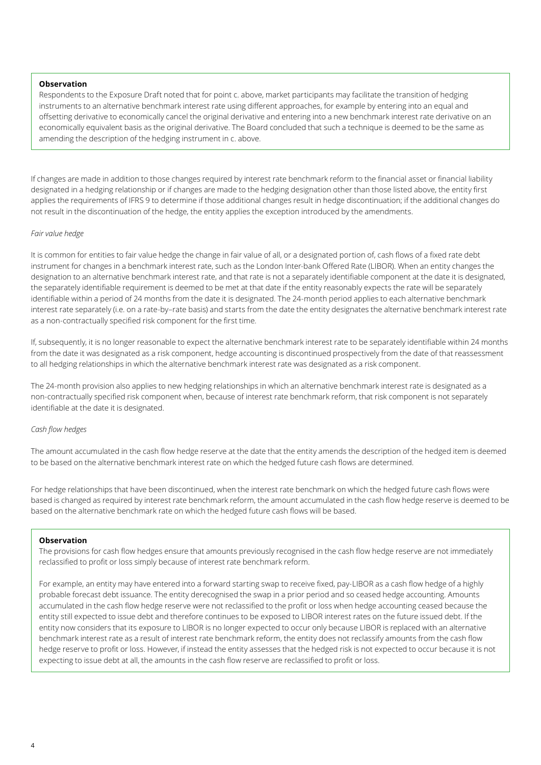#### **Observation**

Respondents to the Exposure Draft noted that for point c. above, market participants may facilitate the transition of hedging instruments to an alternative benchmark interest rate using different approaches, for example by entering into an equal and offsetting derivative to economically cancel the original derivative and entering into a new benchmark interest rate derivative on an economically equivalent basis as the original derivative. The Board concluded that such a technique is deemed to be the same as amending the description of the hedging instrument in c. above.

If changes are made in addition to those changes required by interest rate benchmark reform to the financial asset or financial liability designated in a hedging relationship or if changes are made to the hedging designation other than those listed above, the entity first applies the requirements of IFRS 9 to determine if those additional changes result in hedge discontinuation; if the additional changes do not result in the discontinuation of the hedge, the entity applies the exception introduced by the amendments.

#### *Fair value hedge*

It is common for entities to fair value hedge the change in fair value of all, or a designated portion of, cash flows of a fixed rate debt instrument for changes in a benchmark interest rate, such as the London Inter-bank Offered Rate (LIBOR). When an entity changes the designation to an alternative benchmark interest rate, and that rate is not a separately identifiable component at the date it is designated, the separately identifiable requirement is deemed to be met at that date if the entity reasonably expects the rate will be separately identifiable within a period of 24 months from the date it is designated. The 24-month period applies to each alternative benchmark interest rate separately (i.e. on a rate-by–rate basis) and starts from the date the entity designates the alternative benchmark interest rate as a non-contractually specified risk component for the first time.

If, subsequently, it is no longer reasonable to expect the alternative benchmark interest rate to be separately identifiable within 24 months from the date it was designated as a risk component, hedge accounting is discontinued prospectively from the date of that reassessment to all hedging relationships in which the alternative benchmark interest rate was designated as a risk component.

The 24-month provision also applies to new hedging relationships in which an alternative benchmark interest rate is designated as a non-contractually specified risk component when, because of interest rate benchmark reform, that risk component is not separately identifiable at the date it is designated.

# *Cash flow hedges*

The amount accumulated in the cash flow hedge reserve at the date that the entity amends the description of the hedged item is deemed to be based on the alternative benchmark interest rate on which the hedged future cash flows are determined.

For hedge relationships that have been discontinued, when the interest rate benchmark on which the hedged future cash flows were based is changed as required by interest rate benchmark reform, the amount accumulated in the cash flow hedge reserve is deemed to be based on the alternative benchmark rate on which the hedged future cash flows will be based.

#### **Observation**

The provisions for cash flow hedges ensure that amounts previously recognised in the cash flow hedge reserve are not immediately reclassified to profit or loss simply because of interest rate benchmark reform.

For example, an entity may have entered into a forward starting swap to receive fixed, pay-LIBOR as a cash flow hedge of a highly probable forecast debt issuance. The entity derecognised the swap in a prior period and so ceased hedge accounting. Amounts accumulated in the cash flow hedge reserve were not reclassified to the profit or loss when hedge accounting ceased because the entity still expected to issue debt and therefore continues to be exposed to LIBOR interest rates on the future issued debt. If the entity now considers that its exposure to LIBOR is no longer expected to occur only because LIBOR is replaced with an alternative benchmark interest rate as a result of interest rate benchmark reform, the entity does not reclassify amounts from the cash flow hedge reserve to profit or loss. However, if instead the entity assesses that the hedged risk is not expected to occur because it is not expecting to issue debt at all, the amounts in the cash flow reserve are reclassified to profit or loss.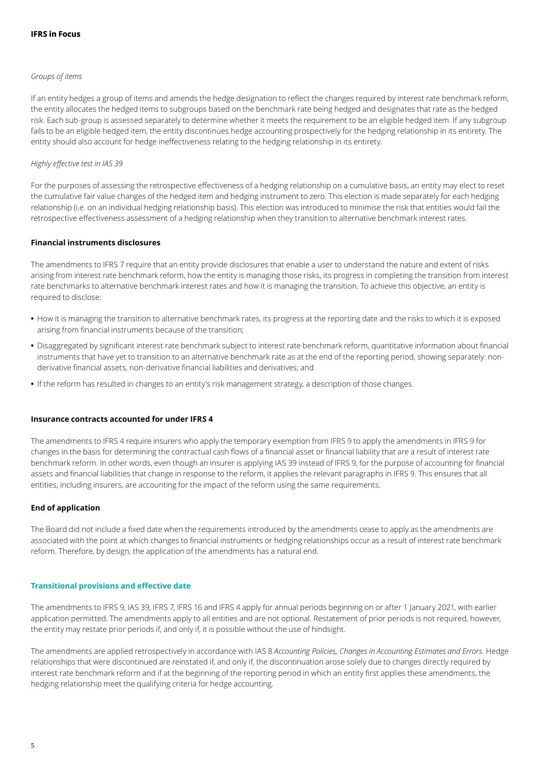#### *Groups of items*

If an entity hedges a group of items and amends the hedge designation to reflect the changes required by interest rate benchmark reform, the entity allocates the hedged items to subgroups based on the benchmark rate being hedged and designates that rate as the hedged risk. Each sub-group is assessed separately to determine whether it meets the requirement to be an eligible hedged item. If any subgroup fails to be an eligible hedged item, the entity discontinues hedge accounting prospectively for the hedging relationship in its entirety. The entity should also account for hedge ineffectiveness relating to the hedging relationship in its entirety.

# *Highly effective test in IAS 39*

For the purposes of assessing the retrospective effectiveness of a hedging relationship on a cumulative basis, an entity may elect to reset the cumulative fair value changes of the hedged item and hedging instrument to zero. This election is made separately for each hedging relationship (i.e. on an individual hedging relationship basis). This election was introduced to minimise the risk that entities would fail the retrospective effectiveness assessment of a hedging relationship when they transition to alternative benchmark interest rates.

#### **Financial instruments disclosures**

The amendments to IFRS 7 require that an entity provide disclosures that enable a user to understand the nature and extent of risks arising from interest rate benchmark reform, how the entity is managing those risks, its progress in completing the transition from interest rate benchmarks to alternative benchmark interest rates and how it is managing the transition. To achieve this objective, an entity is required to disclose:

- **•** How it is managing the transition to alternative benchmark rates, its progress at the reporting date and the risks to which it is exposed arising from financial instruments because of the transition;
- **•** Disaggregated by significant interest rate benchmark subject to interest rate benchmark reform, quantitative information about financial instruments that have yet to transition to an alternative benchmark rate as at the end of the reporting period, showing separately: nonderivative financial assets, non-derivative financial liabilities and derivatives; and
- **•** If the reform has resulted in changes to an entity's risk management strategy, a description of those changes.

# **Insurance contracts accounted for under IFRS 4**

The amendments to IFRS 4 require insurers who apply the temporary exemption from IFRS 9 to apply the amendments in IFRS 9 for changes in the basis for determining the contractual cash flows of a financial asset or financial liability that are a result of interest rate benchmark reform. In other words, even though an insurer is applying IAS 39 instead of IFRS 9, for the purpose of accounting for financial assets and financial liabilities that change in response to the reform, it applies the relevant paragraphs in IFRS 9. This ensures that all entities, including insurers, are accounting for the impact of the reform using the same requirements.

# **End of application**

The Board did not include a fixed date when the requirements introduced by the amendments cease to apply as the amendments are associated with the point at which changes to financial instruments or hedging relationships occur as a result of interest rate benchmark reform. Therefore, by design, the application of the amendments has a natural end.

#### **Transitional provisions and effective date**

The amendments to IFRS 9, IAS 39, IFRS 7, IFRS 16 and IFRS 4 apply for annual periods beginning on or after 1 January 2021, with earlier application permitted. The amendments apply to all entities and are not optional. Restatement of prior periods is not required, however, the entity may restate prior periods if, and only if, it is possible without the use of hindsight.

The amendments are applied retrospectively in accordance with IAS 8 *Accounting Policies, Changes in Accounting Estimates and Errors.* Hedge relationships that were discontinued are reinstated if, and only if, the discontinuation arose solely due to changes directly required by interest rate benchmark reform and if at the beginning of the reporting period in which an entity first applies these amendments, the hedging relationship meet the qualifying criteria for hedge accounting.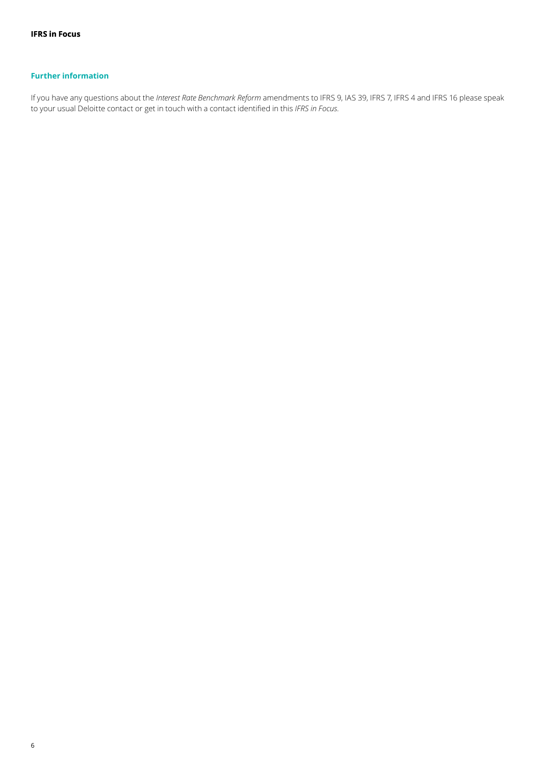# **Further information**

If you have any questions about the *Interest Rate Benchmark Reform* amendments to IFRS 9, IAS 39, IFRS 7, IFRS 4 and IFRS 16 please speak to your usual Deloitte contact or get in touch with a contact identified in this *IFRS in Focus.*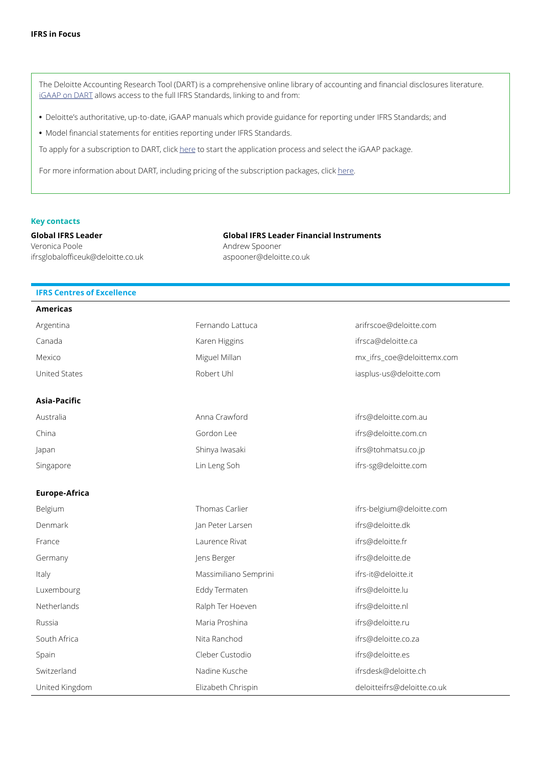The Deloitte Accounting Research Tool (DART) is a comprehensive online library of accounting and financial disclosures literature. [iGAAP on DART](https://dart.deloitte.com/iGAAP) allows access to the full IFRS Standards, linking to and from:

- **•** Deloitte's authoritative, up-to-date, iGAAP manuals which provide guidance for reporting under IFRS Standards; and
- **•** Model financial statements for entities reporting under IFRS Standards.

To apply for a subscription to [DART,](http://) click [here](https://subscriptionservices.deloitte.com/#/plan) to start the application process and select the iGAAP package.

For more information about DART, including pricing of the subscription packages, click [here](https://www2.deloitte.com/global/en/pages/audit/solutions/2019-igaap-on-dart-global.html).

#### **Key contacts**

**Global IFRS Leader** Veronica Poole ifrsglobalofficeuk@deloitte.co.uk

**Global IFRS Leader Financial Instruments** Andrew Spooner aspooner@deloitte.co.uk

# **IFRS Centres of Excellence**

| <b>Americas</b>      |                       |                             |
|----------------------|-----------------------|-----------------------------|
| Argentina            | Fernando Lattuca      | arifrscoe@deloitte.com      |
| Canada               | Karen Higgins         | ifrsca@deloitte.ca          |
| Mexico               | Miguel Millan         | mx_ifrs_coe@deloittemx.com  |
| <b>United States</b> | Robert Uhl            | iasplus-us@deloitte.com     |
| Asia-Pacific         |                       |                             |
| Australia            | Anna Crawford         | ifrs@deloitte.com.au        |
| China                | Gordon Lee            | ifrs@deloitte.com.cn        |
| Japan                | Shinya Iwasaki        | ifrs@tohmatsu.co.jp         |
| Singapore            | Lin Leng Soh          | ifrs-sg@deloitte.com        |
| <b>Europe-Africa</b> |                       |                             |
| Belgium              | Thomas Carlier        | ifrs-belgium@deloitte.com   |
| Denmark              | Jan Peter Larsen      | ifrs@deloitte.dk            |
| France               | Laurence Rivat        | ifrs@deloitte.fr            |
| Germany              | Jens Berger           | ifrs@deloitte.de            |
| Italy                | Massimiliano Semprini | ifrs-it@deloitte.it         |
| Luxembourg           | Eddy Termaten         | ifrs@deloitte.lu            |
| Netherlands          | Ralph Ter Hoeven      | ifrs@deloitte.nl            |
| Russia               | Maria Proshina        | ifrs@deloitte.ru            |
| South Africa         | Nita Ranchod          | ifrs@deloitte.co.za         |
| Spain                | Cleber Custodio       | ifrs@deloitte.es            |
| Switzerland          | Nadine Kusche         | ifrsdesk@deloitte.ch        |
| United Kingdom       | Elizabeth Chrispin    | deloitteifrs@deloitte.co.uk |